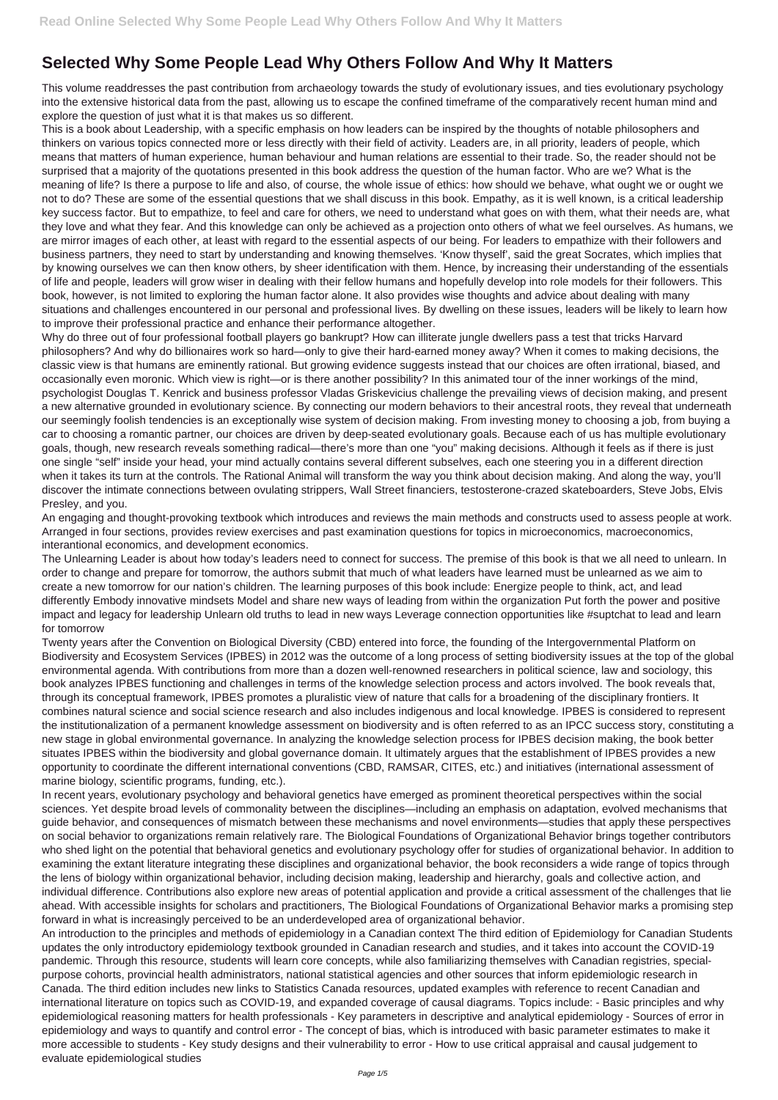## **Selected Why Some People Lead Why Others Follow And Why It Matters**

This volume readdresses the past contribution from archaeology towards the study of evolutionary issues, and ties evolutionary psychology into the extensive historical data from the past, allowing us to escape the confined timeframe of the comparatively recent human mind and explore the question of just what it is that makes us so different.

This is a book about Leadership, with a specific emphasis on how leaders can be inspired by the thoughts of notable philosophers and thinkers on various topics connected more or less directly with their field of activity. Leaders are, in all priority, leaders of people, which means that matters of human experience, human behaviour and human relations are essential to their trade. So, the reader should not be surprised that a majority of the quotations presented in this book address the question of the human factor. Who are we? What is the meaning of life? Is there a purpose to life and also, of course, the whole issue of ethics: how should we behave, what ought we or ought we not to do? These are some of the essential questions that we shall discuss in this book. Empathy, as it is well known, is a critical leadership key success factor. But to empathize, to feel and care for others, we need to understand what goes on with them, what their needs are, what they love and what they fear. And this knowledge can only be achieved as a projection onto others of what we feel ourselves. As humans, we are mirror images of each other, at least with regard to the essential aspects of our being. For leaders to empathize with their followers and business partners, they need to start by understanding and knowing themselves. 'Know thyself', said the great Socrates, which implies that by knowing ourselves we can then know others, by sheer identification with them. Hence, by increasing their understanding of the essentials of life and people, leaders will grow wiser in dealing with their fellow humans and hopefully develop into role models for their followers. This book, however, is not limited to exploring the human factor alone. It also provides wise thoughts and advice about dealing with many situations and challenges encountered in our personal and professional lives. By dwelling on these issues, leaders will be likely to learn how to improve their professional practice and enhance their performance altogether.

Why do three out of four professional football players go bankrupt? How can illiterate jungle dwellers pass a test that tricks Harvard philosophers? And why do billionaires work so hard—only to give their hard-earned money away? When it comes to making decisions, the classic view is that humans are eminently rational. But growing evidence suggests instead that our choices are often irrational, biased, and occasionally even moronic. Which view is right—or is there another possibility? In this animated tour of the inner workings of the mind, psychologist Douglas T. Kenrick and business professor Vladas Griskevicius challenge the prevailing views of decision making, and present a new alternative grounded in evolutionary science. By connecting our modern behaviors to their ancestral roots, they reveal that underneath our seemingly foolish tendencies is an exceptionally wise system of decision making. From investing money to choosing a job, from buying a car to choosing a romantic partner, our choices are driven by deep-seated evolutionary goals. Because each of us has multiple evolutionary goals, though, new research reveals something radical—there's more than one "you" making decisions. Although it feels as if there is just one single "self" inside your head, your mind actually contains several different subselves, each one steering you in a different direction when it takes its turn at the controls. The Rational Animal will transform the way you think about decision making. And along the way, you'll discover the intimate connections between ovulating strippers, Wall Street financiers, testosterone-crazed skateboarders, Steve Jobs, Elvis Presley, and you.

An engaging and thought-provoking textbook which introduces and reviews the main methods and constructs used to assess people at work. Arranged in four sections, provides review exercises and past examination questions for topics in microeconomics, macroeconomics, interantional economics, and development economics.

The Unlearning Leader is about how today's leaders need to connect for success. The premise of this book is that we all need to unlearn. In order to change and prepare for tomorrow, the authors submit that much of what leaders have learned must be unlearned as we aim to create a new tomorrow for our nation's children. The learning purposes of this book include: Energize people to think, act, and lead differently Embody innovative mindsets Model and share new ways of leading from within the organization Put forth the power and positive impact and legacy for leadership Unlearn old truths to lead in new ways Leverage connection opportunities like #suptchat to lead and learn for tomorrow

Twenty years after the Convention on Biological Diversity (CBD) entered into force, the founding of the Intergovernmental Platform on Biodiversity and Ecosystem Services (IPBES) in 2012 was the outcome of a long process of setting biodiversity issues at the top of the global environmental agenda. With contributions from more than a dozen well-renowned researchers in political science, law and sociology, this book analyzes IPBES functioning and challenges in terms of the knowledge selection process and actors involved. The book reveals that, through its conceptual framework, IPBES promotes a pluralistic view of nature that calls for a broadening of the disciplinary frontiers. It combines natural science and social science research and also includes indigenous and local knowledge. IPBES is considered to represent the institutionalization of a permanent knowledge assessment on biodiversity and is often referred to as an IPCC success story, constituting a new stage in global environmental governance. In analyzing the knowledge selection process for IPBES decision making, the book better situates IPBES within the biodiversity and global governance domain. It ultimately argues that the establishment of IPBES provides a new opportunity to coordinate the different international conventions (CBD, RAMSAR, CITES, etc.) and initiatives (international assessment of marine biology, scientific programs, funding, etc.).

In recent years, evolutionary psychology and behavioral genetics have emerged as prominent theoretical perspectives within the social sciences. Yet despite broad levels of commonality between the disciplines—including an emphasis on adaptation, evolved mechanisms that guide behavior, and consequences of mismatch between these mechanisms and novel environments—studies that apply these perspectives on social behavior to organizations remain relatively rare. The Biological Foundations of Organizational Behavior brings together contributors who shed light on the potential that behavioral genetics and evolutionary psychology offer for studies of organizational behavior. In addition to examining the extant literature integrating these disciplines and organizational behavior, the book reconsiders a wide range of topics through the lens of biology within organizational behavior, including decision making, leadership and hierarchy, goals and collective action, and individual difference. Contributions also explore new areas of potential application and provide a critical assessment of the challenges that lie ahead. With accessible insights for scholars and practitioners, The Biological Foundations of Organizational Behavior marks a promising step forward in what is increasingly perceived to be an underdeveloped area of organizational behavior. An introduction to the principles and methods of epidemiology in a Canadian context The third edition of Epidemiology for Canadian Students updates the only introductory epidemiology textbook grounded in Canadian research and studies, and it takes into account the COVID-19 pandemic. Through this resource, students will learn core concepts, while also familiarizing themselves with Canadian registries, specialpurpose cohorts, provincial health administrators, national statistical agencies and other sources that inform epidemiologic research in Canada. The third edition includes new links to Statistics Canada resources, updated examples with reference to recent Canadian and international literature on topics such as COVID-19, and expanded coverage of causal diagrams. Topics include: - Basic principles and why epidemiological reasoning matters for health professionals - Key parameters in descriptive and analytical epidemiology - Sources of error in epidemiology and ways to quantify and control error - The concept of bias, which is introduced with basic parameter estimates to make it more accessible to students - Key study designs and their vulnerability to error - How to use critical appraisal and causal judgement to evaluate epidemiological studies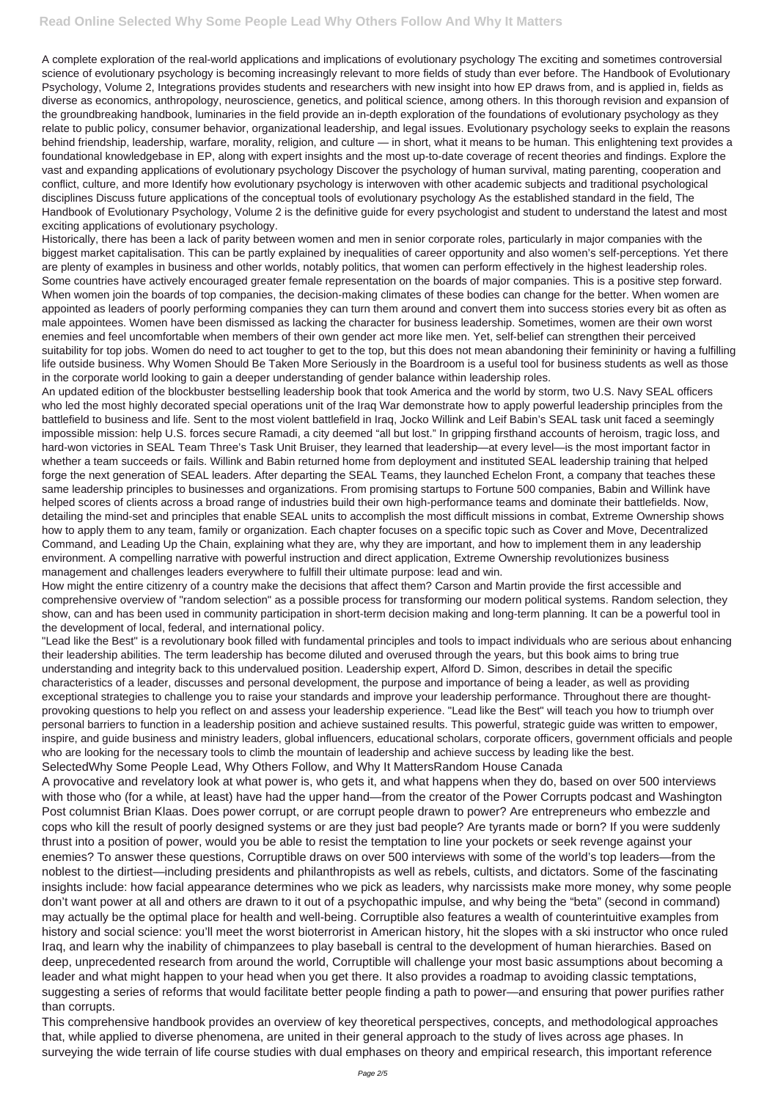A complete exploration of the real-world applications and implications of evolutionary psychology The exciting and sometimes controversial science of evolutionary psychology is becoming increasingly relevant to more fields of study than ever before. The Handbook of Evolutionary Psychology, Volume 2, Integrations provides students and researchers with new insight into how EP draws from, and is applied in, fields as diverse as economics, anthropology, neuroscience, genetics, and political science, among others. In this thorough revision and expansion of the groundbreaking handbook, luminaries in the field provide an in-depth exploration of the foundations of evolutionary psychology as they relate to public policy, consumer behavior, organizational leadership, and legal issues. Evolutionary psychology seeks to explain the reasons behind friendship, leadership, warfare, morality, religion, and culture — in short, what it means to be human. This enlightening text provides a foundational knowledgebase in EP, along with expert insights and the most up-to-date coverage of recent theories and findings. Explore the vast and expanding applications of evolutionary psychology Discover the psychology of human survival, mating parenting, cooperation and conflict, culture, and more Identify how evolutionary psychology is interwoven with other academic subjects and traditional psychological disciplines Discuss future applications of the conceptual tools of evolutionary psychology As the established standard in the field, The Handbook of Evolutionary Psychology, Volume 2 is the definitive guide for every psychologist and student to understand the latest and most exciting applications of evolutionary psychology.

Historically, there has been a lack of parity between women and men in senior corporate roles, particularly in major companies with the biggest market capitalisation. This can be partly explained by inequalities of career opportunity and also women's self-perceptions. Yet there are plenty of examples in business and other worlds, notably politics, that women can perform effectively in the highest leadership roles. Some countries have actively encouraged greater female representation on the boards of major companies. This is a positive step forward. When women join the boards of top companies, the decision-making climates of these bodies can change for the better. When women are appointed as leaders of poorly performing companies they can turn them around and convert them into success stories every bit as often as male appointees. Women have been dismissed as lacking the character for business leadership. Sometimes, women are their own worst enemies and feel uncomfortable when members of their own gender act more like men. Yet, self-belief can strengthen their perceived suitability for top jobs. Women do need to act tougher to get to the top, but this does not mean abandoning their femininity or having a fulfilling life outside business. Why Women Should Be Taken More Seriously in the Boardroom is a useful tool for business students as well as those in the corporate world looking to gain a deeper understanding of gender balance within leadership roles.

An updated edition of the blockbuster bestselling leadership book that took America and the world by storm, two U.S. Navy SEAL officers who led the most highly decorated special operations unit of the Iraq War demonstrate how to apply powerful leadership principles from the battlefield to business and life. Sent to the most violent battlefield in Iraq, Jocko Willink and Leif Babin's SEAL task unit faced a seemingly impossible mission: help U.S. forces secure Ramadi, a city deemed "all but lost." In gripping firsthand accounts of heroism, tragic loss, and hard-won victories in SEAL Team Three's Task Unit Bruiser, they learned that leadership—at every level—is the most important factor in whether a team succeeds or fails. Willink and Babin returned home from deployment and instituted SEAL leadership training that helped forge the next generation of SEAL leaders. After departing the SEAL Teams, they launched Echelon Front, a company that teaches these same leadership principles to businesses and organizations. From promising startups to Fortune 500 companies, Babin and Willink have helped scores of clients across a broad range of industries build their own high-performance teams and dominate their battlefields. Now, detailing the mind-set and principles that enable SEAL units to accomplish the most difficult missions in combat, Extreme Ownership shows how to apply them to any team, family or organization. Each chapter focuses on a specific topic such as Cover and Move, Decentralized Command, and Leading Up the Chain, explaining what they are, why they are important, and how to implement them in any leadership environment. A compelling narrative with powerful instruction and direct application, Extreme Ownership revolutionizes business management and challenges leaders everywhere to fulfill their ultimate purpose: lead and win.

How might the entire citizenry of a country make the decisions that affect them? Carson and Martin provide the first accessible and comprehensive overview of "random selection" as a possible process for transforming our modern political systems. Random selection, they show, can and has been used in community participation in short-term decision making and long-term planning. It can be a powerful tool in the development of local, federal, and international policy.

"Lead like the Best" is a revolutionary book filled with fundamental principles and tools to impact individuals who are serious about enhancing their leadership abilities. The term leadership has become diluted and overused through the years, but this book aims to bring true understanding and integrity back to this undervalued position. Leadership expert, Alford D. Simon, describes in detail the specific characteristics of a leader, discusses and personal development, the purpose and importance of being a leader, as well as providing exceptional strategies to challenge you to raise your standards and improve your leadership performance. Throughout there are thoughtprovoking questions to help you reflect on and assess your leadership experience. "Lead like the Best" will teach you how to triumph over personal barriers to function in a leadership position and achieve sustained results. This powerful, strategic guide was written to empower, inspire, and guide business and ministry leaders, global influencers, educational scholars, corporate officers, government officials and people who are looking for the necessary tools to climb the mountain of leadership and achieve success by leading like the best. SelectedWhy Some People Lead, Why Others Follow, and Why It MattersRandom House Canada

A provocative and revelatory look at what power is, who gets it, and what happens when they do, based on over 500 interviews with those who (for a while, at least) have had the upper hand—from the creator of the Power Corrupts podcast and Washington Post columnist Brian Klaas. Does power corrupt, or are corrupt people drawn to power? Are entrepreneurs who embezzle and cops who kill the result of poorly designed systems or are they just bad people? Are tyrants made or born? If you were suddenly thrust into a position of power, would you be able to resist the temptation to line your pockets or seek revenge against your enemies? To answer these questions, Corruptible draws on over 500 interviews with some of the world's top leaders—from the noblest to the dirtiest—including presidents and philanthropists as well as rebels, cultists, and dictators. Some of the fascinating insights include: how facial appearance determines who we pick as leaders, why narcissists make more money, why some people don't want power at all and others are drawn to it out of a psychopathic impulse, and why being the "beta" (second in command) may actually be the optimal place for health and well-being. Corruptible also features a wealth of counterintuitive examples from history and social science: you'll meet the worst bioterrorist in American history, hit the slopes with a ski instructor who once ruled Iraq, and learn why the inability of chimpanzees to play baseball is central to the development of human hierarchies. Based on deep, unprecedented research from around the world, Corruptible will challenge your most basic assumptions about becoming a leader and what might happen to your head when you get there. It also provides a roadmap to avoiding classic temptations, suggesting a series of reforms that would facilitate better people finding a path to power—and ensuring that power purifies rather than corrupts. This comprehensive handbook provides an overview of key theoretical perspectives, concepts, and methodological approaches that, while applied to diverse phenomena, are united in their general approach to the study of lives across age phases. In surveying the wide terrain of life course studies with dual emphases on theory and empirical research, this important reference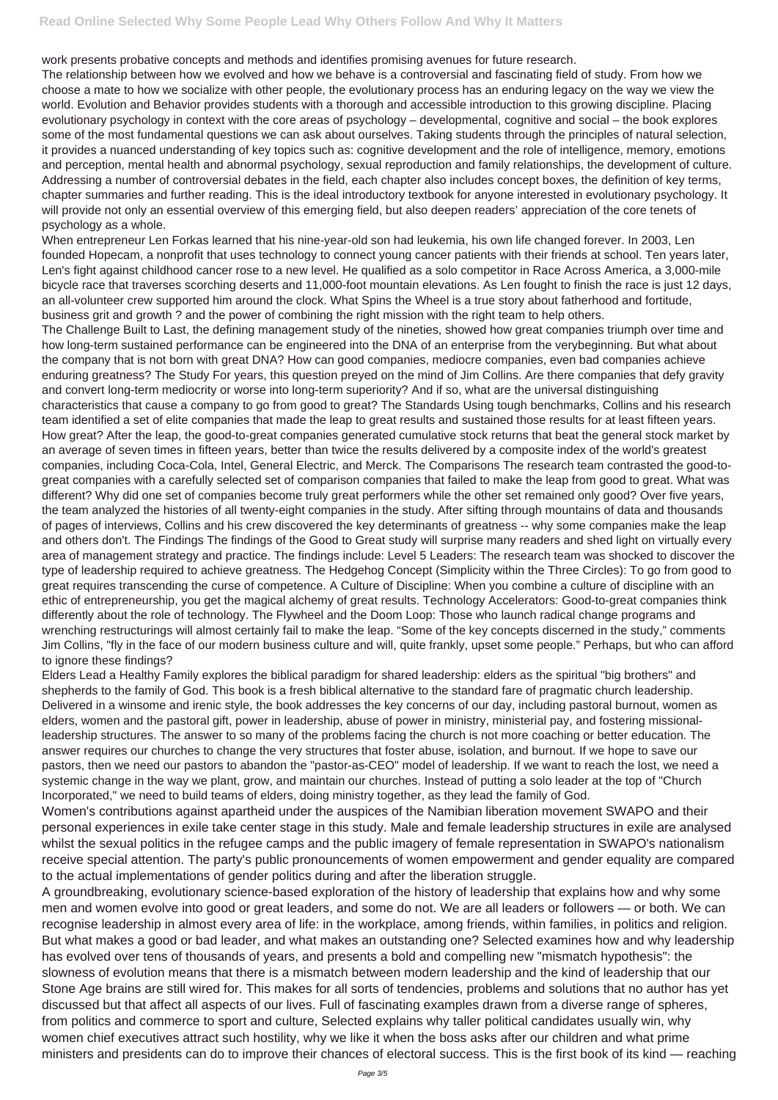work presents probative concepts and methods and identifies promising avenues for future research.

The relationship between how we evolved and how we behave is a controversial and fascinating field of study. From how we choose a mate to how we socialize with other people, the evolutionary process has an enduring legacy on the way we view the world. Evolution and Behavior provides students with a thorough and accessible introduction to this growing discipline. Placing evolutionary psychology in context with the core areas of psychology – developmental, cognitive and social – the book explores some of the most fundamental questions we can ask about ourselves. Taking students through the principles of natural selection, it provides a nuanced understanding of key topics such as: cognitive development and the role of intelligence, memory, emotions and perception, mental health and abnormal psychology, sexual reproduction and family relationships, the development of culture. Addressing a number of controversial debates in the field, each chapter also includes concept boxes, the definition of key terms, chapter summaries and further reading. This is the ideal introductory textbook for anyone interested in evolutionary psychology. It will provide not only an essential overview of this emerging field, but also deepen readers' appreciation of the core tenets of psychology as a whole.

When entrepreneur Len Forkas learned that his nine-year-old son had leukemia, his own life changed forever. In 2003, Len founded Hopecam, a nonprofit that uses technology to connect young cancer patients with their friends at school. Ten years later, Len's fight against childhood cancer rose to a new level. He qualified as a solo competitor in Race Across America, a 3,000-mile bicycle race that traverses scorching deserts and 11,000-foot mountain elevations. As Len fought to finish the race is just 12 days, an all-volunteer crew supported him around the clock. What Spins the Wheel is a true story about fatherhood and fortitude, business grit and growth ? and the power of combining the right mission with the right team to help others. The Challenge Built to Last, the defining management study of the nineties, showed how great companies triumph over time and how long-term sustained performance can be engineered into the DNA of an enterprise from the verybeginning. But what about the company that is not born with great DNA? How can good companies, mediocre companies, even bad companies achieve enduring greatness? The Study For years, this question preyed on the mind of Jim Collins. Are there companies that defy gravity and convert long-term mediocrity or worse into long-term superiority? And if so, what are the universal distinguishing characteristics that cause a company to go from good to great? The Standards Using tough benchmarks, Collins and his research team identified a set of elite companies that made the leap to great results and sustained those results for at least fifteen years. How great? After the leap, the good-to-great companies generated cumulative stock returns that beat the general stock market by an average of seven times in fifteen years, better than twice the results delivered by a composite index of the world's greatest companies, including Coca-Cola, Intel, General Electric, and Merck. The Comparisons The research team contrasted the good-togreat companies with a carefully selected set of comparison companies that failed to make the leap from good to great. What was different? Why did one set of companies become truly great performers while the other set remained only good? Over five years, the team analyzed the histories of all twenty-eight companies in the study. After sifting through mountains of data and thousands of pages of interviews, Collins and his crew discovered the key determinants of greatness -- why some companies make the leap and others don't. The Findings The findings of the Good to Great study will surprise many readers and shed light on virtually every area of management strategy and practice. The findings include: Level 5 Leaders: The research team was shocked to discover the type of leadership required to achieve greatness. The Hedgehog Concept (Simplicity within the Three Circles): To go from good to great requires transcending the curse of competence. A Culture of Discipline: When you combine a culture of discipline with an ethic of entrepreneurship, you get the magical alchemy of great results. Technology Accelerators: Good-to-great companies think differently about the role of technology. The Flywheel and the Doom Loop: Those who launch radical change programs and wrenching restructurings will almost certainly fail to make the leap. "Some of the key concepts discerned in the study," comments Jim Collins, "fly in the face of our modern business culture and will, quite frankly, upset some people." Perhaps, but who can afford to ignore these findings?

Elders Lead a Healthy Family explores the biblical paradigm for shared leadership: elders as the spiritual "big brothers" and shepherds to the family of God. This book is a fresh biblical alternative to the standard fare of pragmatic church leadership. Delivered in a winsome and irenic style, the book addresses the key concerns of our day, including pastoral burnout, women as elders, women and the pastoral gift, power in leadership, abuse of power in ministry, ministerial pay, and fostering missionalleadership structures. The answer to so many of the problems facing the church is not more coaching or better education. The answer requires our churches to change the very structures that foster abuse, isolation, and burnout. If we hope to save our pastors, then we need our pastors to abandon the "pastor-as-CEO" model of leadership. If we want to reach the lost, we need a systemic change in the way we plant, grow, and maintain our churches. Instead of putting a solo leader at the top of "Church Incorporated," we need to build teams of elders, doing ministry together, as they lead the family of God.

Women's contributions against apartheid under the auspices of the Namibian liberation movement SWAPO and their personal experiences in exile take center stage in this study. Male and female leadership structures in exile are analysed

whilst the sexual politics in the refugee camps and the public imagery of female representation in SWAPO's nationalism receive special attention. The party's public pronouncements of women empowerment and gender equality are compared to the actual implementations of gender politics during and after the liberation struggle.

A groundbreaking, evolutionary science-based exploration of the history of leadership that explains how and why some men and women evolve into good or great leaders, and some do not. We are all leaders or followers — or both. We can recognise leadership in almost every area of life: in the workplace, among friends, within families, in politics and religion. But what makes a good or bad leader, and what makes an outstanding one? Selected examines how and why leadership has evolved over tens of thousands of years, and presents a bold and compelling new "mismatch hypothesis": the slowness of evolution means that there is a mismatch between modern leadership and the kind of leadership that our Stone Age brains are still wired for. This makes for all sorts of tendencies, problems and solutions that no author has yet discussed but that affect all aspects of our lives. Full of fascinating examples drawn from a diverse range of spheres, from politics and commerce to sport and culture, Selected explains why taller political candidates usually win, why women chief executives attract such hostility, why we like it when the boss asks after our children and what prime ministers and presidents can do to improve their chances of electoral success. This is the first book of its kind — reaching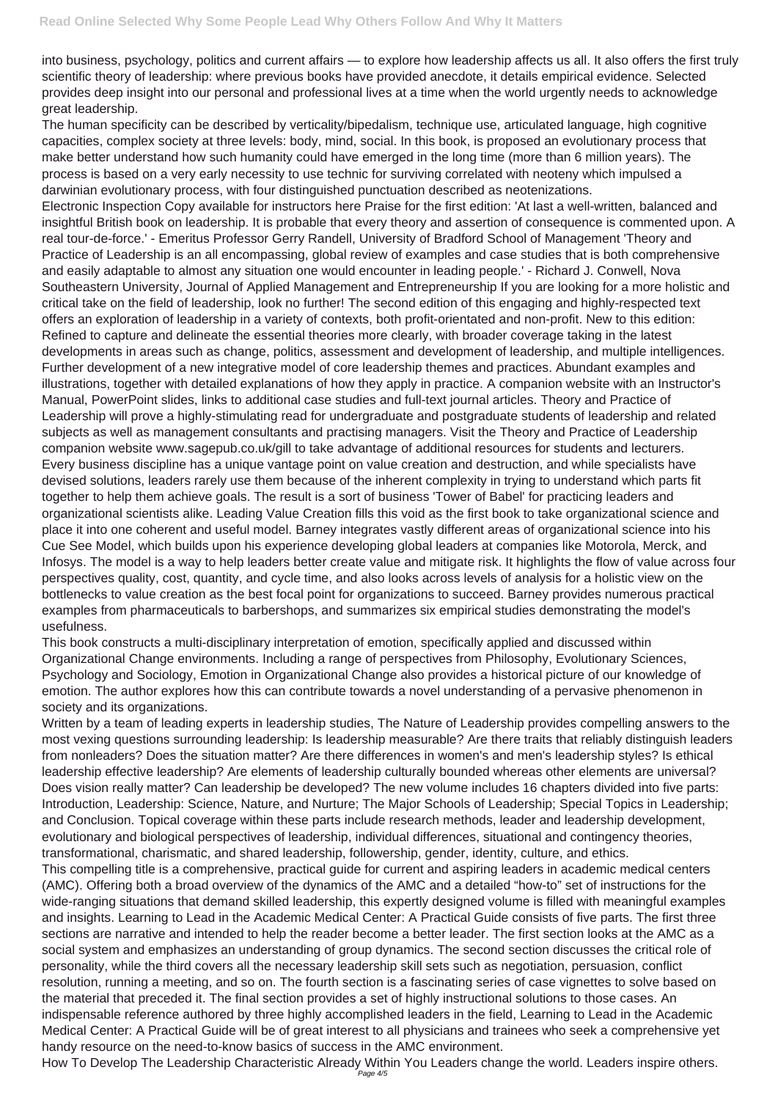into business, psychology, politics and current affairs — to explore how leadership affects us all. It also offers the first truly scientific theory of leadership: where previous books have provided anecdote, it details empirical evidence. Selected provides deep insight into our personal and professional lives at a time when the world urgently needs to acknowledge great leadership.

The human specificity can be described by verticality/bipedalism, technique use, articulated language, high cognitive capacities, complex society at three levels: body, mind, social. In this book, is proposed an evolutionary process that make better understand how such humanity could have emerged in the long time (more than 6 million years). The process is based on a very early necessity to use technic for surviving correlated with neoteny which impulsed a darwinian evolutionary process, with four distinguished punctuation described as neotenizations. Electronic Inspection Copy available for instructors here Praise for the first edition: 'At last a well-written, balanced and insightful British book on leadership. It is probable that every theory and assertion of consequence is commented upon. A real tour-de-force.' - Emeritus Professor Gerry Randell, University of Bradford School of Management 'Theory and Practice of Leadership is an all encompassing, global review of examples and case studies that is both comprehensive and easily adaptable to almost any situation one would encounter in leading people.' - Richard J. Conwell, Nova Southeastern University, Journal of Applied Management and Entrepreneurship If you are looking for a more holistic and critical take on the field of leadership, look no further! The second edition of this engaging and highly-respected text offers an exploration of leadership in a variety of contexts, both profit-orientated and non-profit. New to this edition: Refined to capture and delineate the essential theories more clearly, with broader coverage taking in the latest developments in areas such as change, politics, assessment and development of leadership, and multiple intelligences. Further development of a new integrative model of core leadership themes and practices. Abundant examples and illustrations, together with detailed explanations of how they apply in practice. A companion website with an Instructor's Manual, PowerPoint slides, links to additional case studies and full-text journal articles. Theory and Practice of Leadership will prove a highly-stimulating read for undergraduate and postgraduate students of leadership and related subjects as well as management consultants and practising managers. Visit the Theory and Practice of Leadership companion website www.sagepub.co.uk/gill to take advantage of additional resources for students and lecturers. Every business discipline has a unique vantage point on value creation and destruction, and while specialists have devised solutions, leaders rarely use them because of the inherent complexity in trying to understand which parts fit together to help them achieve goals. The result is a sort of business 'Tower of Babel' for practicing leaders and organizational scientists alike. Leading Value Creation fills this void as the first book to take organizational science and place it into one coherent and useful model. Barney integrates vastly different areas of organizational science into his Cue See Model, which builds upon his experience developing global leaders at companies like Motorola, Merck, and Infosys. The model is a way to help leaders better create value and mitigate risk. It highlights the flow of value across four perspectives quality, cost, quantity, and cycle time, and also looks across levels of analysis for a holistic view on the bottlenecks to value creation as the best focal point for organizations to succeed. Barney provides numerous practical examples from pharmaceuticals to barbershops, and summarizes six empirical studies demonstrating the model's usefulness.

This book constructs a multi-disciplinary interpretation of emotion, specifically applied and discussed within Organizational Change environments. Including a range of perspectives from Philosophy, Evolutionary Sciences, Psychology and Sociology, Emotion in Organizational Change also provides a historical picture of our knowledge of emotion. The author explores how this can contribute towards a novel understanding of a pervasive phenomenon in society and its organizations.

Written by a team of leading experts in leadership studies, The Nature of Leadership provides compelling answers to the most vexing questions surrounding leadership: Is leadership measurable? Are there traits that reliably distinguish leaders from nonleaders? Does the situation matter? Are there differences in women's and men's leadership styles? Is ethical leadership effective leadership? Are elements of leadership culturally bounded whereas other elements are universal? Does vision really matter? Can leadership be developed? The new volume includes 16 chapters divided into five parts: Introduction, Leadership: Science, Nature, and Nurture; The Major Schools of Leadership; Special Topics in Leadership; and Conclusion. Topical coverage within these parts include research methods, leader and leadership development,

evolutionary and biological perspectives of leadership, individual differences, situational and contingency theories, transformational, charismatic, and shared leadership, followership, gender, identity, culture, and ethics. This compelling title is a comprehensive, practical guide for current and aspiring leaders in academic medical centers (AMC). Offering both a broad overview of the dynamics of the AMC and a detailed "how-to" set of instructions for the wide-ranging situations that demand skilled leadership, this expertly designed volume is filled with meaningful examples and insights. Learning to Lead in the Academic Medical Center: A Practical Guide consists of five parts. The first three sections are narrative and intended to help the reader become a better leader. The first section looks at the AMC as a social system and emphasizes an understanding of group dynamics. The second section discusses the critical role of personality, while the third covers all the necessary leadership skill sets such as negotiation, persuasion, conflict resolution, running a meeting, and so on. The fourth section is a fascinating series of case vignettes to solve based on the material that preceded it. The final section provides a set of highly instructional solutions to those cases. An indispensable reference authored by three highly accomplished leaders in the field, Learning to Lead in the Academic Medical Center: A Practical Guide will be of great interest to all physicians and trainees who seek a comprehensive yet handy resource on the need-to-know basics of success in the AMC environment. How To Develop The Leadership Characteristic Already Within You Leaders change the world. Leaders inspire others. Page 4/5